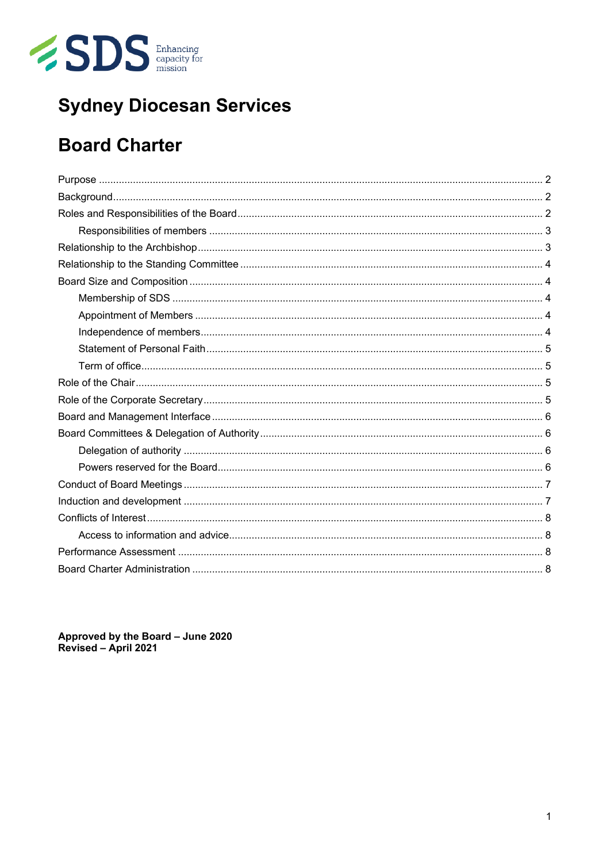

# **Sydney Diocesan Services**

## **Board Charter**

Approved by the Board - June 2020<br>Revised - April 2021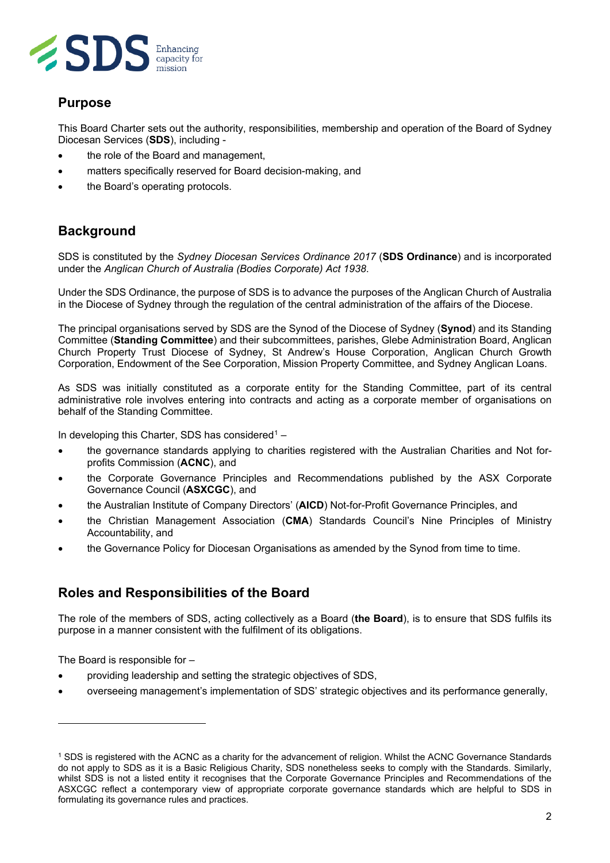

## <span id="page-1-0"></span>**Purpose**

This Board Charter sets out the authority, responsibilities, membership and operation of the Board of Sydney Diocesan Services (**SDS**), including -

- the role of the Board and management,
- matters specifically reserved for Board decision-making, and
- <span id="page-1-1"></span>the Board's operating protocols.

## **Background**

SDS is constituted by the *Sydney Diocesan Services Ordinance 2017* (**SDS Ordinance**) and is incorporated under the *Anglican Church of Australia (Bodies Corporate) Act 1938*.

Under the SDS Ordinance, the purpose of SDS is to advance the purposes of the Anglican Church of Australia in the Diocese of Sydney through the regulation of the central administration of the affairs of the Diocese.

The principal organisations served by SDS are the Synod of the Diocese of Sydney (**Synod**) and its Standing Committee (**Standing Committee**) and their subcommittees, parishes, Glebe Administration Board, Anglican Church Property Trust Diocese of Sydney, St Andrew's House Corporation, Anglican Church Growth Corporation, Endowment of the See Corporation, Mission Property Committee, and Sydney Anglican Loans.

As SDS was initially constituted as a corporate entity for the Standing Committee, part of its central administrative role involves entering into contracts and acting as a corporate member of organisations on behalf of the Standing Committee.

In developing this Charter, SDS has considered<sup>[1](#page-1-3)</sup> -

- the governance standards applying to charities registered with the Australian Charities and Not forprofits Commission (**ACNC**), and
- the Corporate Governance Principles and Recommendations published by the ASX Corporate Governance Council (**ASXCGC**), and
- the Australian Institute of Company Directors' (**AICD**) Not-for-Profit Governance Principles, and
- the Christian Management Association (**CMA**) Standards Council's Nine Principles of Ministry Accountability, and
- <span id="page-1-2"></span>• the Governance Policy for Diocesan Organisations as amended by the Synod from time to time.

## **Roles and Responsibilities of the Board**

The role of the members of SDS, acting collectively as a Board (**the Board**), is to ensure that SDS fulfils its purpose in a manner consistent with the fulfilment of its obligations.

The Board is responsible for –

- providing leadership and setting the strategic objectives of SDS,
- overseeing management's implementation of SDS' strategic objectives and its performance generally,

<span id="page-1-3"></span><sup>1</sup> SDS is registered with the ACNC as a charity for the advancement of religion. Whilst the ACNC Governance Standards do not apply to SDS as it is a Basic Religious Charity, SDS nonetheless seeks to comply with the Standards. Similarly, whilst SDS is not a listed entity it recognises that the Corporate Governance Principles and Recommendations of the ASXCGC reflect a contemporary view of appropriate corporate governance standards which are helpful to SDS in formulating its governance rules and practices.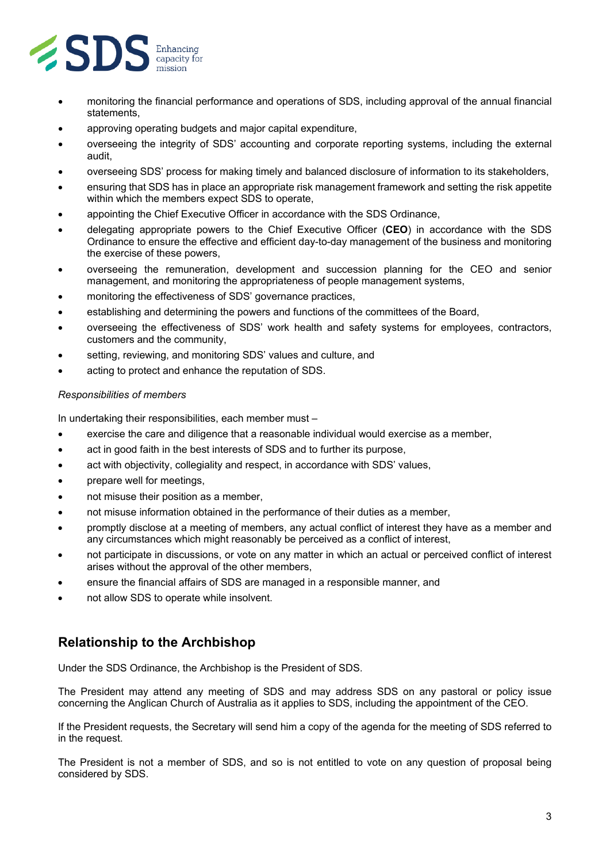

- monitoring the financial performance and operations of SDS, including approval of the annual financial statements,
- approving operating budgets and major capital expenditure,
- overseeing the integrity of SDS' accounting and corporate reporting systems, including the external audit,
- overseeing SDS' process for making timely and balanced disclosure of information to its stakeholders,
- ensuring that SDS has in place an appropriate risk management framework and setting the risk appetite within which the members expect SDS to operate,
- appointing the Chief Executive Officer in accordance with the SDS Ordinance,
- delegating appropriate powers to the Chief Executive Officer (**CEO**) in accordance with the SDS Ordinance to ensure the effective and efficient day-to-day management of the business and monitoring the exercise of these powers,
- overseeing the remuneration, development and succession planning for the CEO and senior management, and monitoring the appropriateness of people management systems,
- monitoring the effectiveness of SDS' governance practices,
- establishing and determining the powers and functions of the committees of the Board,
- overseeing the effectiveness of SDS' work health and safety systems for employees, contractors, customers and the community,
- setting, reviewing, and monitoring SDS' values and culture, and
- acting to protect and enhance the reputation of SDS.

#### <span id="page-2-0"></span>*Responsibilities of members*

In undertaking their responsibilities, each member must –

- exercise the care and diligence that a reasonable individual would exercise as a member,
- act in good faith in the best interests of SDS and to further its purpose,
- act with objectivity, collegiality and respect, in accordance with SDS' values,
- prepare well for meetings,
- not misuse their position as a member,
- not misuse information obtained in the performance of their duties as a member,
- promptly disclose at a meeting of members, any actual conflict of interest they have as a member and any circumstances which might reasonably be perceived as a conflict of interest,
- not participate in discussions, or vote on any matter in which an actual or perceived conflict of interest arises without the approval of the other members,
- ensure the financial affairs of SDS are managed in a responsible manner, and
- <span id="page-2-1"></span>• not allow SDS to operate while insolvent.

## **Relationship to the Archbishop**

Under the SDS Ordinance, the Archbishop is the President of SDS.

The President may attend any meeting of SDS and may address SDS on any pastoral or policy issue concerning the Anglican Church of Australia as it applies to SDS, including the appointment of the CEO.

If the President requests, the Secretary will send him a copy of the agenda for the meeting of SDS referred to in the request.

The President is not a member of SDS, and so is not entitled to vote on any question of proposal being considered by SDS.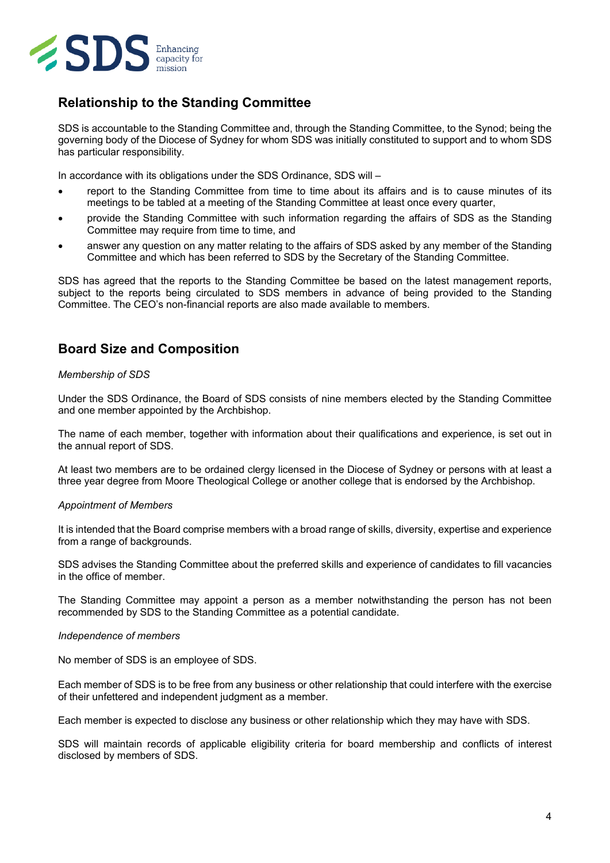

## <span id="page-3-0"></span>**Relationship to the Standing Committee**

SDS is accountable to the Standing Committee and, through the Standing Committee, to the Synod; being the governing body of the Diocese of Sydney for whom SDS was initially constituted to support and to whom SDS has particular responsibility.

In accordance with its obligations under the SDS Ordinance, SDS will –

- report to the Standing Committee from time to time about its affairs and is to cause minutes of its meetings to be tabled at a meeting of the Standing Committee at least once every quarter,
- provide the Standing Committee with such information regarding the affairs of SDS as the Standing Committee may require from time to time, and
- answer any question on any matter relating to the affairs of SDS asked by any member of the Standing Committee and which has been referred to SDS by the Secretary of the Standing Committee.

SDS has agreed that the reports to the Standing Committee be based on the latest management reports, subject to the reports being circulated to SDS members in advance of being provided to the Standing Committee. The CEO's non-financial reports are also made available to members.

## <span id="page-3-1"></span>**Board Size and Composition**

#### <span id="page-3-2"></span>*Membership of SDS*

Under the SDS Ordinance, the Board of SDS consists of nine members elected by the Standing Committee and one member appointed by the Archbishop.

The name of each member, together with information about their qualifications and experience, is set out in the annual report of SDS.

At least two members are to be ordained clergy licensed in the Diocese of Sydney or persons with at least a three year degree from Moore Theological College or another college that is endorsed by the Archbishop.

#### <span id="page-3-3"></span>*Appointment of Members*

It is intended that the Board comprise members with a broad range of skills, diversity, expertise and experience from a range of backgrounds.

SDS advises the Standing Committee about the preferred skills and experience of candidates to fill vacancies in the office of member.

The Standing Committee may appoint a person as a member notwithstanding the person has not been recommended by SDS to the Standing Committee as a potential candidate.

#### <span id="page-3-4"></span>*Independence of members*

No member of SDS is an employee of SDS.

Each member of SDS is to be free from any business or other relationship that could interfere with the exercise of their unfettered and independent judgment as a member.

Each member is expected to disclose any business or other relationship which they may have with SDS.

SDS will maintain records of applicable eligibility criteria for board membership and conflicts of interest disclosed by members of SDS.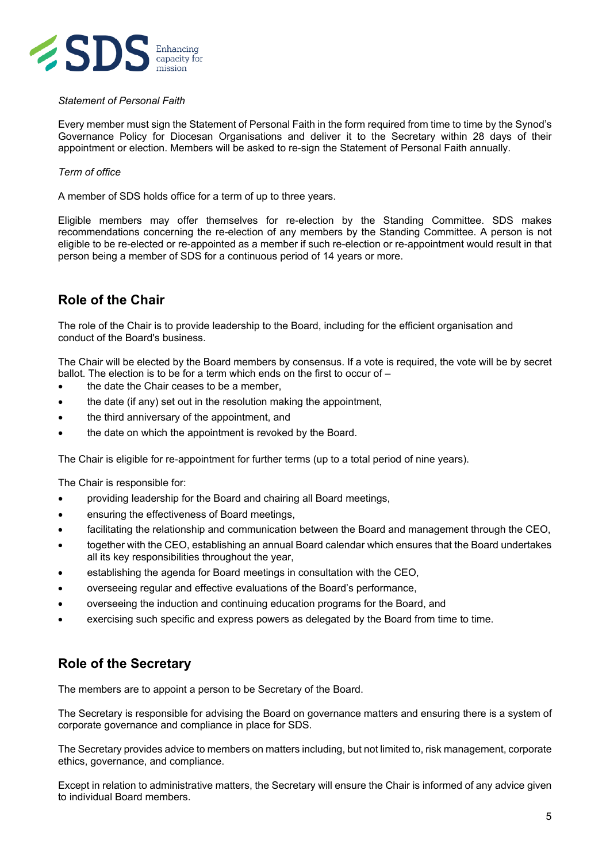

#### <span id="page-4-0"></span>*Statement of Personal Faith*

Every member must sign the Statement of Personal Faith in the form required from time to time by the Synod's Governance Policy for Diocesan Organisations and deliver it to the Secretary within 28 days of their appointment or election. Members will be asked to re-sign the Statement of Personal Faith annually.

#### <span id="page-4-1"></span>*Term of office*

A member of SDS holds office for a term of up to three years.

Eligible members may offer themselves for re-election by the Standing Committee. SDS makes recommendations concerning the re-election of any members by the Standing Committee. A person is not eligible to be re-elected or re-appointed as a member if such re-election or re-appointment would result in that person being a member of SDS for a continuous period of 14 years or more.

## <span id="page-4-2"></span>**Role of the Chair**

The role of the Chair is to provide leadership to the Board, including for the efficient organisation and conduct of the Board's business.

The Chair will be elected by the Board members by consensus. If a vote is required, the vote will be by secret ballot. The election is to be for a term which ends on the first to occur of –

- the date the Chair ceases to be a member,
- the date (if any) set out in the resolution making the appointment,
- the third anniversary of the appointment, and
- the date on which the appointment is revoked by the Board.

The Chair is eligible for re-appointment for further terms (up to a total period of nine years).

The Chair is responsible for:

- providing leadership for the Board and chairing all Board meetings,
- ensuring the effectiveness of Board meetings,
- facilitating the relationship and communication between the Board and management through the CEO,
- together with the CEO, establishing an annual Board calendar which ensures that the Board undertakes all its key responsibilities throughout the year,
- establishing the agenda for Board meetings in consultation with the CEO,
- overseeing regular and effective evaluations of the Board's performance,
- overseeing the induction and continuing education programs for the Board, and
- <span id="page-4-3"></span>exercising such specific and express powers as delegated by the Board from time to time.

## **Role of the Secretary**

The members are to appoint a person to be Secretary of the Board.

The Secretary is responsible for advising the Board on governance matters and ensuring there is a system of corporate governance and compliance in place for SDS.

The Secretary provides advice to members on matters including, but not limited to, risk management, corporate ethics, governance, and compliance.

Except in relation to administrative matters, the Secretary will ensure the Chair is informed of any advice given to individual Board members.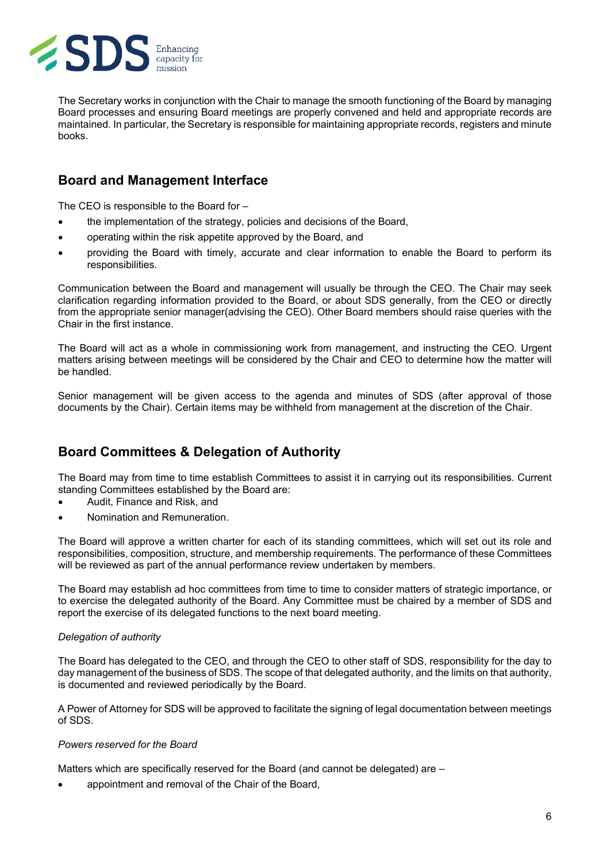

The Secretary works in conjunction with the Chair to manage the smooth functioning of the Board by managing Board processes and ensuring Board meetings are properly convened and held and appropriate records are maintained. In particular, the Secretary is responsible for maintaining appropriate records, registers and minute books.

## <span id="page-5-0"></span>**Board and Management Interface**

The CEO is responsible to the Board for –

- the implementation of the strategy, policies and decisions of the Board,
- operating within the risk appetite approved by the Board, and
- providing the Board with timely, accurate and clear information to enable the Board to perform its responsibilities.

Communication between the Board and management will usually be through the CEO. The Chair may seek clarification regarding information provided to the Board, or about SDS generally, from the CEO or directly from the appropriate senior manager(advising the CEO). Other Board members should raise queries with the Chair in the first instance.

The Board will act as a whole in commissioning work from management, and instructing the CEO. Urgent matters arising between meetings will be considered by the Chair and CEO to determine how the matter will be handled.

<span id="page-5-1"></span>Senior management will be given access to the agenda and minutes of SDS (after approval of those documents by the Chair). Certain items may be withheld from management at the discretion of the Chair.

## **Board Committees & Delegation of Authority**

The Board may from time to time establish Committees to assist it in carrying out its responsibilities. Current standing Committees established by the Board are:

- Audit, Finance and Risk, and
- Nomination and Remuneration.

The Board will approve a written charter for each of its standing committees, which will set out its role and responsibilities, composition, structure, and membership requirements. The performance of these Committees will be reviewed as part of the annual performance review undertaken by members.

The Board may establish ad hoc committees from time to time to consider matters of strategic importance, or to exercise the delegated authority of the Board. Any Committee must be chaired by a member of SDS and report the exercise of its delegated functions to the next board meeting.

#### <span id="page-5-2"></span>*Delegation of authority*

The Board has delegated to the CEO, and through the CEO to other staff of SDS, responsibility for the day to day management of the business of SDS. The scope of that delegated authority, and the limits on that authority, is documented and reviewed periodically by the Board.

A Power of Attorney for SDS will be approved to facilitate the signing of legal documentation between meetings of SDS.

#### <span id="page-5-3"></span>*Powers reserved for the Board*

Matters which are specifically reserved for the Board (and cannot be delegated) are –

• appointment and removal of the Chair of the Board,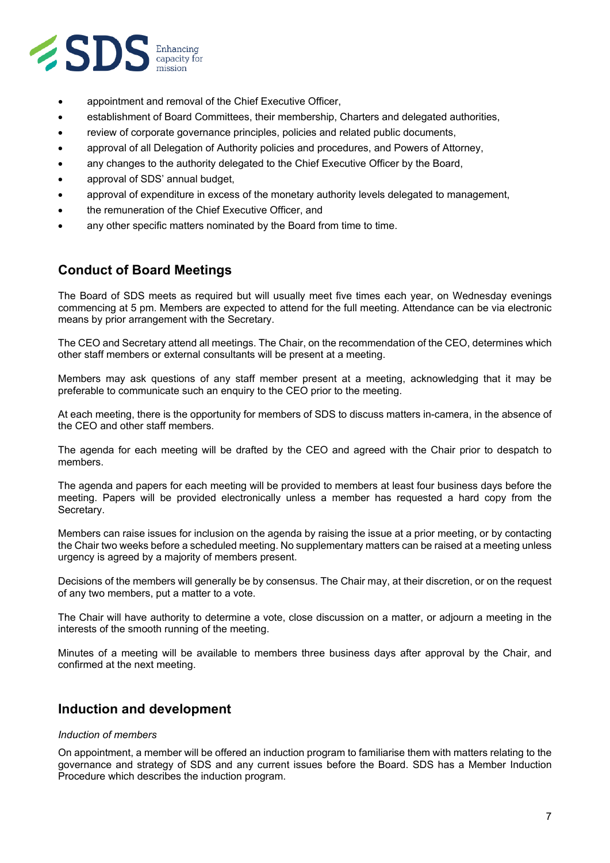

- appointment and removal of the Chief Executive Officer,
- establishment of Board Committees, their membership, Charters and delegated authorities,
- review of corporate governance principles, policies and related public documents,
- approval of all Delegation of Authority policies and procedures, and Powers of Attorney,
- any changes to the authority delegated to the Chief Executive Officer by the Board,
- approval of SDS' annual budget,
- approval of expenditure in excess of the monetary authority levels delegated to management,
- the remuneration of the Chief Executive Officer, and
- <span id="page-6-0"></span>any other specific matters nominated by the Board from time to time.

## **Conduct of Board Meetings**

The Board of SDS meets as required but will usually meet five times each year, on Wednesday evenings commencing at 5 pm. Members are expected to attend for the full meeting. Attendance can be via electronic means by prior arrangement with the Secretary.

The CEO and Secretary attend all meetings. The Chair, on the recommendation of the CEO, determines which other staff members or external consultants will be present at a meeting.

Members may ask questions of any staff member present at a meeting, acknowledging that it may be preferable to communicate such an enquiry to the CEO prior to the meeting.

At each meeting, there is the opportunity for members of SDS to discuss matters in-camera, in the absence of the CEO and other staff members.

The agenda for each meeting will be drafted by the CEO and agreed with the Chair prior to despatch to members.

The agenda and papers for each meeting will be provided to members at least four business days before the meeting. Papers will be provided electronically unless a member has requested a hard copy from the Secretary.

Members can raise issues for inclusion on the agenda by raising the issue at a prior meeting, or by contacting the Chair two weeks before a scheduled meeting. No supplementary matters can be raised at a meeting unless urgency is agreed by a majority of members present.

Decisions of the members will generally be by consensus. The Chair may, at their discretion, or on the request of any two members, put a matter to a vote.

The Chair will have authority to determine a vote, close discussion on a matter, or adjourn a meeting in the interests of the smooth running of the meeting.

<span id="page-6-1"></span>Minutes of a meeting will be available to members three business days after approval by the Chair, and confirmed at the next meeting.

#### **Induction and development**

#### *Induction of members*

On appointment, a member will be offered an induction program to familiarise them with matters relating to the governance and strategy of SDS and any current issues before the Board. SDS has a Member Induction Procedure which describes the induction program.